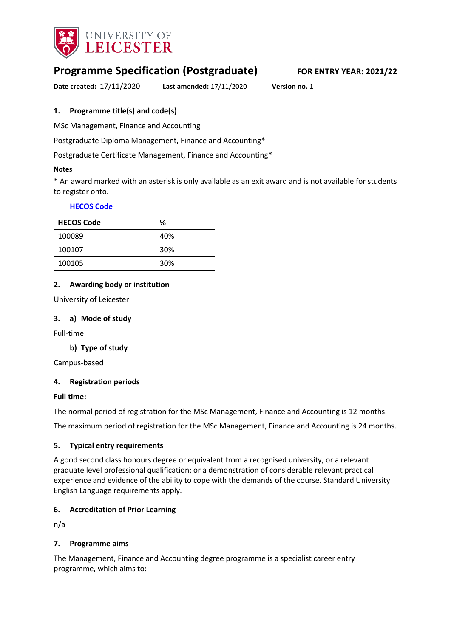

# **Programme Specification (Postgraduate) FOR ENTRY YEAR: 2021/22**

**Date created:** 17/11/2020 **Last amended:** 17/11/2020 **Version no.** 1

### <span id="page-0-0"></span>**1. Programme title(s) and code(s)**

MSc Management, Finance and Accounting

Postgraduate Diploma Management, Finance and Accounting\*

Postgraduate Certificate Management, Finance and Accounting\*

#### **Notes**

\* An award marked with an asterisk is only available as an exit award and is not available for students to register onto.

#### **[HECOS Code](https://www.hesa.ac.uk/innovation/hecos)**

| <b>HECOS Code</b> | %   |
|-------------------|-----|
| 100089            | 40% |
| 100107            | 30% |
| 100105            | 30% |

#### **2. Awarding body or institution**

University of Leicester

#### **3. a) Mode of study**

Full-time

### **b) Type of study**

Campus-based

#### **4. Registration periods**

#### **Full time:**

The normal period of registration for the MSc Management, Finance and Accounting is 12 months.

The maximum period of registration for the MSc Management, Finance and Accounting is 24 months.

#### **5. Typical entry requirements**

A good second class honours degree or equivalent from a recognised university, or a relevant graduate level professional qualification; or a demonstration of considerable relevant practical experience and evidence of the ability to cope with the demands of the course. Standard University English Language requirements apply.

#### **6. Accreditation of Prior Learning**

n/a

#### **7. Programme aims**

The Management, Finance and Accounting degree programme is a specialist career entry programme, which aims to: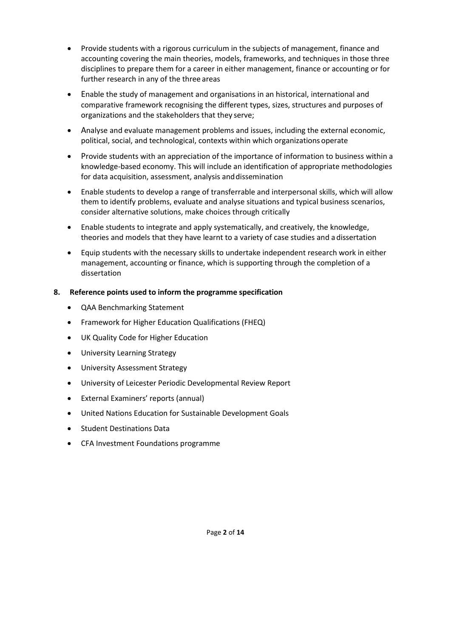- Provide students with a rigorous curriculum in the subjects of management, finance and accounting covering the main theories, models, frameworks, and techniques in those three disciplines to prepare them for a career in either management, finance or accounting or for further research in any of the three areas
- Enable the study of management and organisations in an historical, international and comparative framework recognising the different types, sizes, structures and purposes of organizations and the stakeholders that they serve;
- Analyse and evaluate management problems and issues, including the external economic, political, social, and technological, contexts within which organizations operate
- Provide students with an appreciation of the importance of information to business within a knowledge-based economy. This will include an identification of appropriate methodologies for data acquisition, assessment, analysis anddissemination
- Enable students to develop a range of transferrable and interpersonal skills, which will allow them to identify problems, evaluate and analyse situations and typical business scenarios, consider alternative solutions, make choices through critically
- Enable students to integrate and apply systematically, and creatively, the knowledge, theories and models that they have learnt to a variety of case studies and adissertation
- Equip students with the necessary skills to undertake independent research work in either management, accounting or finance, which is supporting through the completion of a dissertation

### **8. Reference points used to inform the programme specification**

- QAA Benchmarking Statement
- Framework for Higher Education Qualifications (FHEQ)
- UK Quality Code for Higher Education
- [University Learning Strategy](https://www2.le.ac.uk/offices/sas2/quality/learnteach)
- [University Assessment Strategy](https://www2.le.ac.uk/offices/sas2/quality/learnteach)
- University of Leicester Periodic Developmental Review Report
- External Examiners' reports (annual)
- United Nations Education for Sustainable Development Goals
- **•** Student Destinations Data
- CFA Investment Foundations programme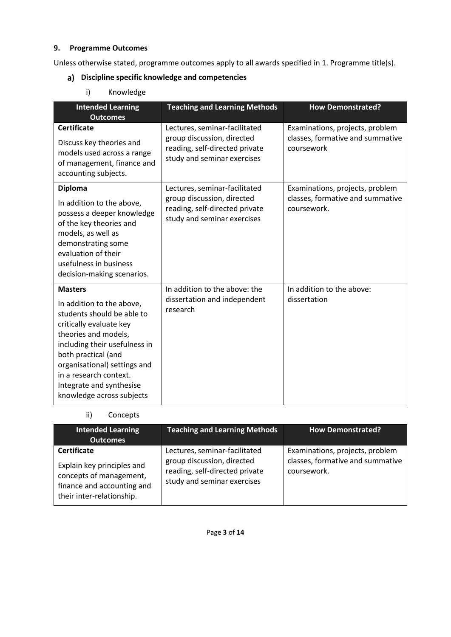## **9. Programme Outcomes**

Unless otherwise stated, programme outcomes apply to all awards specified in [1.](#page-0-0) Programme title(s).

# **Discipline specific knowledge and competencies**

i) Knowledge

| <b>Intended Learning</b><br><b>Outcomes</b>                                                                                                                                                                                                                                                             | <b>Teaching and Learning Methods</b>                                                                                         | <b>How Demonstrated?</b>                                                           |
|---------------------------------------------------------------------------------------------------------------------------------------------------------------------------------------------------------------------------------------------------------------------------------------------------------|------------------------------------------------------------------------------------------------------------------------------|------------------------------------------------------------------------------------|
| <b>Certificate</b><br>Discuss key theories and<br>models used across a range<br>of management, finance and<br>accounting subjects.                                                                                                                                                                      | Lectures, seminar-facilitated<br>group discussion, directed<br>reading, self-directed private<br>study and seminar exercises | Examinations, projects, problem<br>classes, formative and summative<br>coursework  |
| <b>Diploma</b><br>In addition to the above,<br>possess a deeper knowledge<br>of the key theories and<br>models, as well as<br>demonstrating some<br>evaluation of their<br>usefulness in business<br>decision-making scenarios.                                                                         | Lectures, seminar-facilitated<br>group discussion, directed<br>reading, self-directed private<br>study and seminar exercises | Examinations, projects, problem<br>classes, formative and summative<br>coursework. |
| <b>Masters</b><br>In addition to the above,<br>students should be able to<br>critically evaluate key<br>theories and models,<br>including their usefulness in<br>both practical (and<br>organisational) settings and<br>in a research context.<br>Integrate and synthesise<br>knowledge across subjects | In addition to the above: the<br>dissertation and independent<br>research                                                    | In addition to the above:<br>dissertation                                          |

## ii) Concepts

| <b>Intended Learning</b><br><b>Outcomes</b>                                                                                            | <b>Teaching and Learning Methods</b>                                                                                         | <b>How Demonstrated?</b>                                                           |
|----------------------------------------------------------------------------------------------------------------------------------------|------------------------------------------------------------------------------------------------------------------------------|------------------------------------------------------------------------------------|
| <b>Certificate</b><br>Explain key principles and<br>concepts of management,<br>finance and accounting and<br>their inter-relationship. | Lectures, seminar-facilitated<br>group discussion, directed<br>reading, self-directed private<br>study and seminar exercises | Examinations, projects, problem<br>classes, formative and summative<br>coursework. |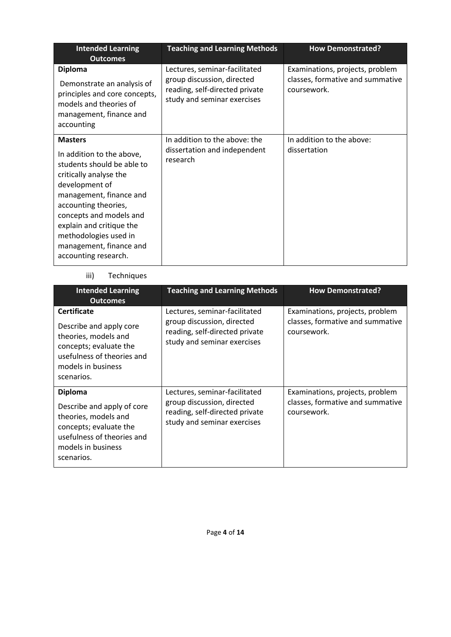| <b>Intended Learning</b><br><b>Outcomes</b>                                                                                                                                                                                                                                                                 | <b>Teaching and Learning Methods</b>                                                                                         | <b>How Demonstrated?</b>                                                           |
|-------------------------------------------------------------------------------------------------------------------------------------------------------------------------------------------------------------------------------------------------------------------------------------------------------------|------------------------------------------------------------------------------------------------------------------------------|------------------------------------------------------------------------------------|
| <b>Diploma</b><br>Demonstrate an analysis of<br>principles and core concepts,<br>models and theories of<br>management, finance and<br>accounting                                                                                                                                                            | Lectures, seminar-facilitated<br>group discussion, directed<br>reading, self-directed private<br>study and seminar exercises | Examinations, projects, problem<br>classes, formative and summative<br>coursework. |
| <b>Masters</b><br>In addition to the above,<br>students should be able to<br>critically analyse the<br>development of<br>management, finance and<br>accounting theories,<br>concepts and models and<br>explain and critique the<br>methodologies used in<br>management, finance and<br>accounting research. | In addition to the above: the<br>dissertation and independent<br>research                                                    | In addition to the above:<br>dissertation                                          |

## iii) Techniques

| <b>Intended Learning</b><br><b>Outcomes</b>                                                                                                                       | <b>Teaching and Learning Methods</b>                                                                                         | <b>How Demonstrated?</b>                                                           |
|-------------------------------------------------------------------------------------------------------------------------------------------------------------------|------------------------------------------------------------------------------------------------------------------------------|------------------------------------------------------------------------------------|
| <b>Certificate</b><br>Describe and apply core<br>theories, models and<br>concepts; evaluate the<br>usefulness of theories and<br>models in business<br>scenarios. | Lectures, seminar-facilitated<br>group discussion, directed<br>reading, self-directed private<br>study and seminar exercises | Examinations, projects, problem<br>classes, formative and summative<br>coursework. |
| <b>Diploma</b><br>Describe and apply of core<br>theories, models and<br>concepts; evaluate the<br>usefulness of theories and<br>models in business<br>scenarios.  | Lectures, seminar-facilitated<br>group discussion, directed<br>reading, self-directed private<br>study and seminar exercises | Examinations, projects, problem<br>classes, formative and summative<br>coursework. |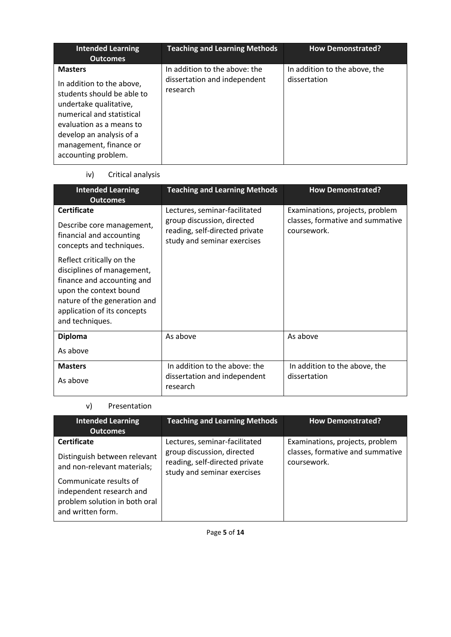| <b>Intended Learning</b><br><b>Outcomes</b>                                                                                                                                                                                               | <b>Teaching and Learning Methods</b>                                      | <b>How Demonstrated?</b>                      |
|-------------------------------------------------------------------------------------------------------------------------------------------------------------------------------------------------------------------------------------------|---------------------------------------------------------------------------|-----------------------------------------------|
| <b>Masters</b><br>In addition to the above,<br>students should be able to<br>undertake qualitative,<br>numerical and statistical<br>evaluation as a means to<br>develop an analysis of a<br>management, finance or<br>accounting problem. | In addition to the above: the<br>dissertation and independent<br>research | In addition to the above, the<br>dissertation |

## iv) Critical analysis

| <b>Intended Learning</b><br><b>Outcomes</b>                                                                                                                          | <b>Teaching and Learning Methods</b>                                                                                         | <b>How Demonstrated?</b>                                                           |
|----------------------------------------------------------------------------------------------------------------------------------------------------------------------|------------------------------------------------------------------------------------------------------------------------------|------------------------------------------------------------------------------------|
| <b>Certificate</b><br>Describe core management,<br>financial and accounting<br>concepts and techniques.<br>Reflect critically on the                                 | Lectures, seminar-facilitated<br>group discussion, directed<br>reading, self-directed private<br>study and seminar exercises | Examinations, projects, problem<br>classes, formative and summative<br>coursework. |
| disciplines of management,<br>finance and accounting and<br>upon the context bound<br>nature of the generation and<br>application of its concepts<br>and techniques. |                                                                                                                              |                                                                                    |
| <b>Diploma</b><br>As above                                                                                                                                           | As above                                                                                                                     | As above                                                                           |
| <b>Masters</b><br>As above                                                                                                                                           | In addition to the above: the<br>dissertation and independent<br>research                                                    | In addition to the above, the<br>dissertation                                      |

## v) Presentation

| <b>Intended Learning</b><br><b>Outcomes</b>                                                                                                                                                   | <b>Teaching and Learning Methods</b>                                                                                         | <b>How Demonstrated?</b>                                                           |
|-----------------------------------------------------------------------------------------------------------------------------------------------------------------------------------------------|------------------------------------------------------------------------------------------------------------------------------|------------------------------------------------------------------------------------|
| <b>Certificate</b><br>Distinguish between relevant<br>and non-relevant materials;<br>Communicate results of<br>independent research and<br>problem solution in both oral<br>and written form. | Lectures, seminar-facilitated<br>group discussion, directed<br>reading, self-directed private<br>study and seminar exercises | Examinations, projects, problem<br>classes, formative and summative<br>coursework. |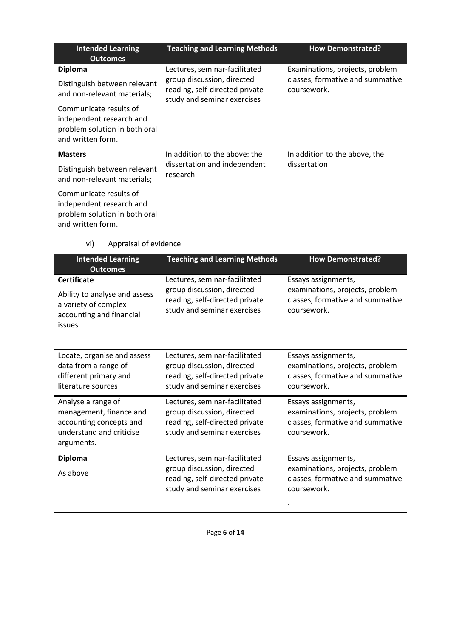| <b>Intended Learning</b><br><b>Outcomes</b>                                                                                                                                               | <b>Teaching and Learning Methods</b>                                                                                         | <b>How Demonstrated?</b>                                                           |
|-------------------------------------------------------------------------------------------------------------------------------------------------------------------------------------------|------------------------------------------------------------------------------------------------------------------------------|------------------------------------------------------------------------------------|
| <b>Diploma</b><br>Distinguish between relevant<br>and non-relevant materials;<br>Communicate results of<br>independent research and<br>problem solution in both oral<br>and written form. | Lectures, seminar-facilitated<br>group discussion, directed<br>reading, self-directed private<br>study and seminar exercises | Examinations, projects, problem<br>classes, formative and summative<br>coursework. |
| <b>Masters</b><br>Distinguish between relevant<br>and non-relevant materials;<br>Communicate results of<br>independent research and                                                       | In addition to the above: the<br>dissertation and independent<br>research                                                    | In addition to the above, the<br>dissertation                                      |
| problem solution in both oral<br>and written form.                                                                                                                                        |                                                                                                                              |                                                                                    |

## vi) Appraisal of evidence

| <b>Intended Learning</b><br><b>Outcomes</b>                                                                        | <b>Teaching and Learning Methods</b>                                                                                         | <b>How Demonstrated?</b>                                                                                  |
|--------------------------------------------------------------------------------------------------------------------|------------------------------------------------------------------------------------------------------------------------------|-----------------------------------------------------------------------------------------------------------|
| <b>Certificate</b><br>Ability to analyse and assess<br>a variety of complex<br>accounting and financial<br>issues. | Lectures, seminar-facilitated<br>group discussion, directed<br>reading, self-directed private<br>study and seminar exercises | Essays assignments,<br>examinations, projects, problem<br>classes, formative and summative<br>coursework. |
| Locate, organise and assess<br>data from a range of<br>different primary and<br>literature sources                 | Lectures, seminar-facilitated<br>group discussion, directed<br>reading, self-directed private<br>study and seminar exercises | Essays assignments,<br>examinations, projects, problem<br>classes, formative and summative<br>coursework. |
| Analyse a range of<br>management, finance and<br>accounting concepts and<br>understand and criticise<br>arguments. | Lectures, seminar-facilitated<br>group discussion, directed<br>reading, self-directed private<br>study and seminar exercises | Essays assignments,<br>examinations, projects, problem<br>classes, formative and summative<br>coursework. |
| <b>Diploma</b><br>As above                                                                                         | Lectures, seminar-facilitated<br>group discussion, directed<br>reading, self-directed private<br>study and seminar exercises | Essays assignments,<br>examinations, projects, problem<br>classes, formative and summative<br>coursework. |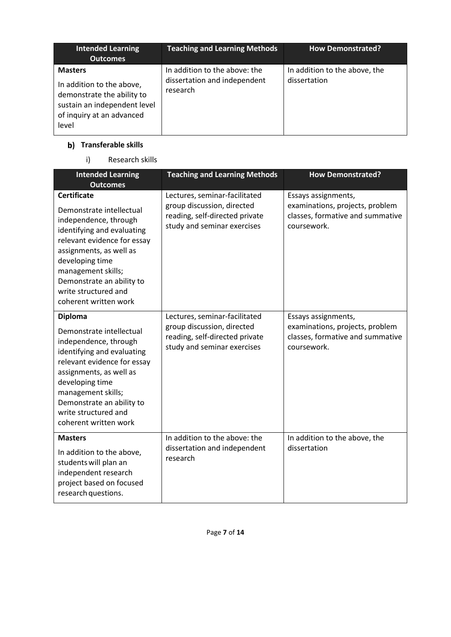| <b>Intended Learning</b><br><b>Outcomes</b>                                                                                                     | <b>Teaching and Learning Methods</b>                                      | <b>How Demonstrated?</b>                      |
|-------------------------------------------------------------------------------------------------------------------------------------------------|---------------------------------------------------------------------------|-----------------------------------------------|
| <b>Masters</b><br>In addition to the above,<br>demonstrate the ability to<br>sustain an independent level<br>of inquiry at an advanced<br>level | In addition to the above: the<br>dissertation and independent<br>research | In addition to the above, the<br>dissertation |

# **Transferable skills**

i) Research skills

| <b>Intended Learning</b><br><b>Outcomes</b>                                                                                                                                                                                                                                            | <b>Teaching and Learning Methods</b>                                                                                         | <b>How Demonstrated?</b>                                                                                  |
|----------------------------------------------------------------------------------------------------------------------------------------------------------------------------------------------------------------------------------------------------------------------------------------|------------------------------------------------------------------------------------------------------------------------------|-----------------------------------------------------------------------------------------------------------|
| <b>Certificate</b><br>Demonstrate intellectual<br>independence, through<br>identifying and evaluating<br>relevant evidence for essay<br>assignments, as well as<br>developing time<br>management skills;<br>Demonstrate an ability to<br>write structured and<br>coherent written work | Lectures, seminar-facilitated<br>group discussion, directed<br>reading, self-directed private<br>study and seminar exercises | Essays assignments,<br>examinations, projects, problem<br>classes, formative and summative<br>coursework. |
| <b>Diploma</b><br>Demonstrate intellectual<br>independence, through<br>identifying and evaluating<br>relevant evidence for essay<br>assignments, as well as<br>developing time<br>management skills;<br>Demonstrate an ability to<br>write structured and<br>coherent written work     | Lectures, seminar-facilitated<br>group discussion, directed<br>reading, self-directed private<br>study and seminar exercises | Essays assignments,<br>examinations, projects, problem<br>classes, formative and summative<br>coursework. |
| <b>Masters</b><br>In addition to the above,<br>students will plan an<br>independent research<br>project based on focused<br>research questions.                                                                                                                                        | In addition to the above: the<br>dissertation and independent<br>research                                                    | In addition to the above, the<br>dissertation                                                             |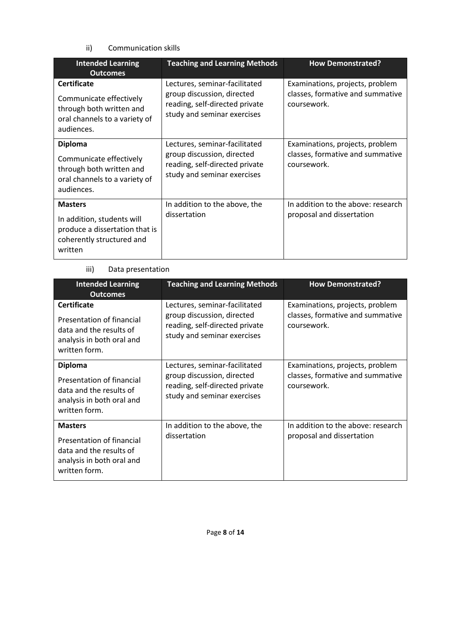ii) Communication skills

| <b>Intended Learning</b><br><b>Outcomes</b>                                                                              | <b>Teaching and Learning Methods</b>                                                                                         | <b>How Demonstrated?</b>                                                           |
|--------------------------------------------------------------------------------------------------------------------------|------------------------------------------------------------------------------------------------------------------------------|------------------------------------------------------------------------------------|
| <b>Certificate</b><br>Communicate effectively<br>through both written and<br>oral channels to a variety of<br>audiences. | Lectures, seminar-facilitated<br>group discussion, directed<br>reading, self-directed private<br>study and seminar exercises | Examinations, projects, problem<br>classes, formative and summative<br>coursework. |
| <b>Diploma</b><br>Communicate effectively<br>through both written and<br>oral channels to a variety of<br>audiences.     | Lectures, seminar-facilitated<br>group discussion, directed<br>reading, self-directed private<br>study and seminar exercises | Examinations, projects, problem<br>classes, formative and summative<br>coursework. |
| <b>Masters</b><br>In addition, students will<br>produce a dissertation that is<br>coherently structured and<br>written   | In addition to the above, the<br>dissertation                                                                                | In addition to the above: research<br>proposal and dissertation                    |

### iii) Data presentation

| <b>Intended Learning</b><br><b>Outcomes</b>                                                                              | <b>Teaching and Learning Methods</b>                                                                                         | <b>How Demonstrated?</b>                                                           |
|--------------------------------------------------------------------------------------------------------------------------|------------------------------------------------------------------------------------------------------------------------------|------------------------------------------------------------------------------------|
| <b>Certificate</b><br>Presentation of financial<br>data and the results of<br>analysis in both oral and<br>written form. | Lectures, seminar-facilitated<br>group discussion, directed<br>reading, self-directed private<br>study and seminar exercises | Examinations, projects, problem<br>classes, formative and summative<br>coursework. |
| <b>Diploma</b><br>Presentation of financial<br>data and the results of<br>analysis in both oral and<br>written form.     | Lectures, seminar-facilitated<br>group discussion, directed<br>reading, self-directed private<br>study and seminar exercises | Examinations, projects, problem<br>classes, formative and summative<br>coursework. |
| <b>Masters</b><br>Presentation of financial<br>data and the results of<br>analysis in both oral and<br>written form.     | In addition to the above, the<br>dissertation                                                                                | In addition to the above: research<br>proposal and dissertation                    |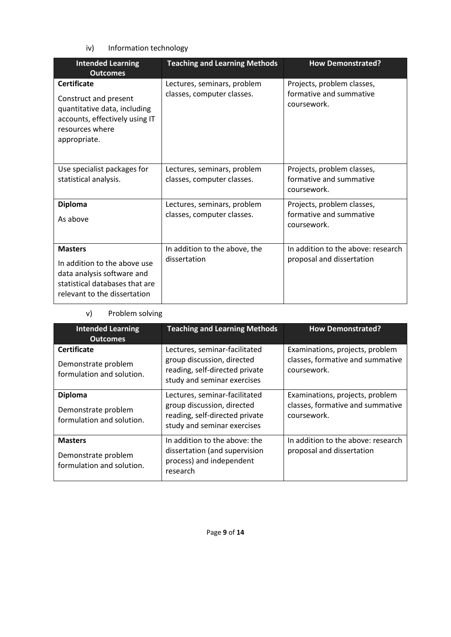iv) Information technology

| <b>Intended Learning</b><br><b>Outcomes</b>                                                                                                      | <b>Teaching and Learning Methods</b>                      | <b>How Demonstrated?</b>                                             |
|--------------------------------------------------------------------------------------------------------------------------------------------------|-----------------------------------------------------------|----------------------------------------------------------------------|
| <b>Certificate</b><br>Construct and present<br>quantitative data, including<br>accounts, effectively using IT<br>resources where<br>appropriate. | Lectures, seminars, problem<br>classes, computer classes. | Projects, problem classes,<br>formative and summative<br>coursework. |
| Use specialist packages for<br>statistical analysis.                                                                                             | Lectures, seminars, problem<br>classes, computer classes. | Projects, problem classes,<br>formative and summative<br>coursework. |
| <b>Diploma</b>                                                                                                                                   | Lectures, seminars, problem                               | Projects, problem classes,                                           |
| As above                                                                                                                                         | classes, computer classes.                                | formative and summative<br>coursework.                               |
| <b>Masters</b>                                                                                                                                   | In addition to the above, the                             | In addition to the above: research                                   |
| In addition to the above use<br>data analysis software and<br>statistical databases that are<br>relevant to the dissertation                     | dissertation                                              | proposal and dissertation                                            |

# v) Problem solving

| <b>Intended Learning</b><br><b>Outcomes</b>                            | <b>Teaching and Learning Methods</b>                                                                                         | <b>How Demonstrated?</b>                                                           |
|------------------------------------------------------------------------|------------------------------------------------------------------------------------------------------------------------------|------------------------------------------------------------------------------------|
| <b>Certificate</b><br>Demonstrate problem<br>formulation and solution. | Lectures, seminar-facilitated<br>group discussion, directed<br>reading, self-directed private<br>study and seminar exercises | Examinations, projects, problem<br>classes, formative and summative<br>coursework. |
| <b>Diploma</b><br>Demonstrate problem<br>formulation and solution.     | Lectures, seminar-facilitated<br>group discussion, directed<br>reading, self-directed private<br>study and seminar exercises | Examinations, projects, problem<br>classes, formative and summative<br>coursework. |
| <b>Masters</b><br>Demonstrate problem<br>formulation and solution.     | In addition to the above: the<br>dissertation (and supervision<br>process) and independent<br>research                       | In addition to the above: research<br>proposal and dissertation                    |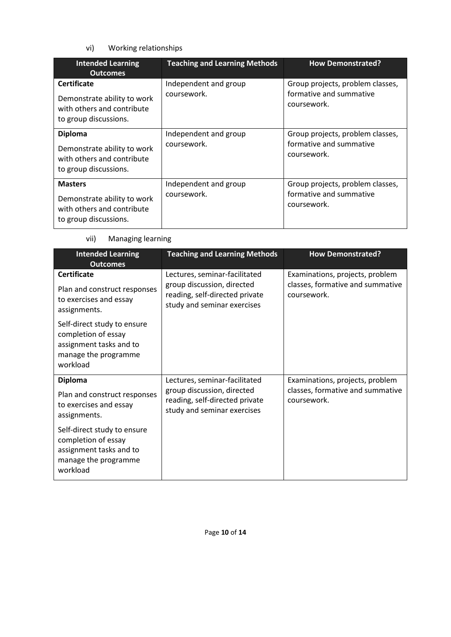# vi) Working relationships

| <b>Intended Learning</b><br><b>Outcomes</b>                                                              | <b>Teaching and Learning Methods</b> | <b>How Demonstrated?</b>                                                   |
|----------------------------------------------------------------------------------------------------------|--------------------------------------|----------------------------------------------------------------------------|
| <b>Certificate</b><br>Demonstrate ability to work<br>with others and contribute<br>to group discussions. | Independent and group<br>coursework. | Group projects, problem classes,<br>formative and summative<br>coursework. |
| <b>Diploma</b><br>Demonstrate ability to work<br>with others and contribute<br>to group discussions.     | Independent and group<br>coursework. | Group projects, problem classes,<br>formative and summative<br>coursework. |
| <b>Masters</b><br>Demonstrate ability to work<br>with others and contribute<br>to group discussions.     | Independent and group<br>coursework. | Group projects, problem classes,<br>formative and summative<br>coursework. |

## vii) Managing learning

| <b>Intended Learning</b><br><b>Outcomes</b>                                                                       | <b>Teaching and Learning Methods</b>                                                                                         | <b>How Demonstrated?</b>                                                           |
|-------------------------------------------------------------------------------------------------------------------|------------------------------------------------------------------------------------------------------------------------------|------------------------------------------------------------------------------------|
| <b>Certificate</b><br>Plan and construct responses<br>to exercises and essay<br>assignments.                      | Lectures, seminar-facilitated<br>group discussion, directed<br>reading, self-directed private<br>study and seminar exercises | Examinations, projects, problem<br>classes, formative and summative<br>coursework. |
| Self-direct study to ensure<br>completion of essay<br>assignment tasks and to<br>manage the programme<br>workload |                                                                                                                              |                                                                                    |
| <b>Diploma</b><br>Plan and construct responses<br>to exercises and essay<br>assignments.                          | Lectures, seminar-facilitated<br>group discussion, directed<br>reading, self-directed private<br>study and seminar exercises | Examinations, projects, problem<br>classes, formative and summative<br>coursework. |
| Self-direct study to ensure<br>completion of essay<br>assignment tasks and to<br>manage the programme<br>workload |                                                                                                                              |                                                                                    |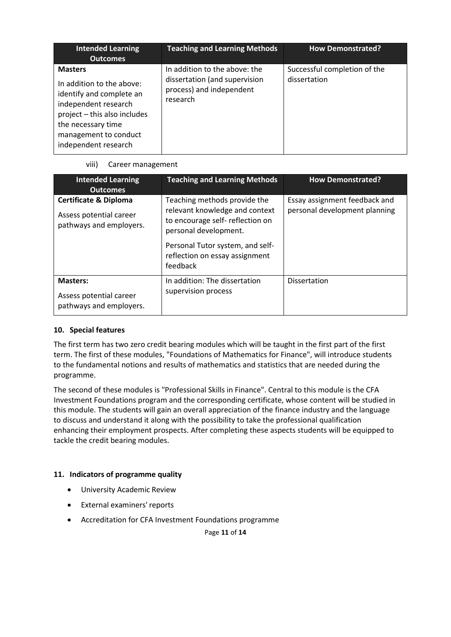| <b>Intended Learning</b><br><b>Outcomes</b>                                                                                                                                                            | <b>Teaching and Learning Methods</b>                                                                   | <b>How Demonstrated?</b>                     |
|--------------------------------------------------------------------------------------------------------------------------------------------------------------------------------------------------------|--------------------------------------------------------------------------------------------------------|----------------------------------------------|
| <b>Masters</b><br>In addition to the above:<br>identify and complete an<br>independent research<br>project - this also includes<br>the necessary time<br>management to conduct<br>independent research | In addition to the above: the<br>dissertation (and supervision<br>process) and independent<br>research | Successful completion of the<br>dissertation |

### viii) Career management

| <b>Intended Learning</b><br><b>Outcomes</b>                                            | <b>Teaching and Learning Methods</b>                                                                                       | <b>How Demonstrated?</b>                                       |
|----------------------------------------------------------------------------------------|----------------------------------------------------------------------------------------------------------------------------|----------------------------------------------------------------|
| <b>Certificate &amp; Diploma</b><br>Assess potential career<br>pathways and employers. | Teaching methods provide the<br>relevant knowledge and context<br>to encourage self-reflection on<br>personal development. | Essay assignment feedback and<br>personal development planning |
|                                                                                        | Personal Tutor system, and self-<br>reflection on essay assignment<br>feedback                                             |                                                                |
| <b>Masters:</b><br>Assess potential career<br>pathways and employers.                  | In addition: The dissertation<br>supervision process                                                                       | <b>Dissertation</b>                                            |

### **10. Special features**

The first term has two zero credit bearing modules which will be taught in the first part of the first term. The first of these modules, "Foundations of Mathematics for Finance", will introduce students to the fundamental notions and results of mathematics and statistics that are needed during the programme.

The second of these modules is "Professional Skills in Finance". Central to this module is the CFA Investment Foundations program and the corresponding certificate, whose content will be studied in this module. The students will gain an overall appreciation of the finance industry and the language to discuss and understand it along with the possibility to take the professional qualification enhancing their employment prospects. After completing these aspects students will be equipped to tackle the credit bearing modules.

## **11. Indicators of programme quality**

- University Academic Review
- External examiners' reports
- Accreditation for CFA Investment Foundations programme

Page **11** of **14**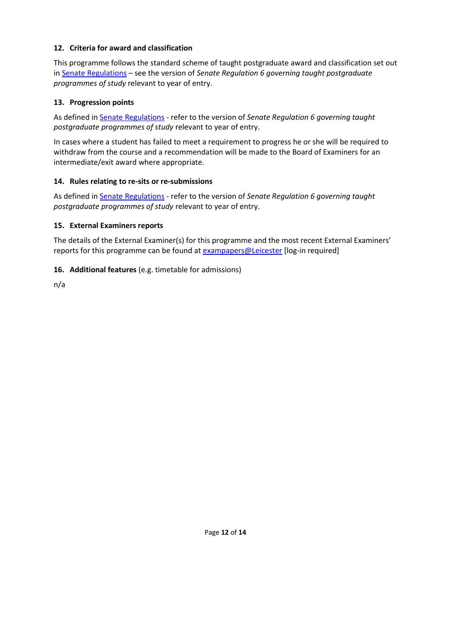### **12. Criteria for award and classification**

This programme follows the standard scheme of taught postgraduate award and classification set out i[n Senate Regulations](http://www.le.ac.uk/senate-regulations) – see the version of *Senate Regulation 6 governing taught postgraduate programmes of study* relevant to year of entry.

## **13. Progression points**

As defined i[n Senate Regulations](http://www.le.ac.uk/senate-regulation6) - refer to the version of *Senate Regulation 6 governing taught postgraduate programmes of study* relevant to year of entry.

In cases where a student has failed to meet a requirement to progress he or she will be required to withdraw from the course and a recommendation will be made to the Board of Examiners for an intermediate/exit award where appropriate.

## **14. Rules relating to re-sits or re-submissions**

As defined i[n Senate Regulations](http://www.le.ac.uk/senate-regulation6) - refer to the version of *Senate Regulation 6 governing taught postgraduate programmes of study* relevant to year of entry.

### **15. External Examiners reports**

The details of the External Examiner(s) for this programme and the most recent External Examiners' reports for this programme can be found at [exampapers@Leicester](https://exampapers.le.ac.uk/) [log-in required]

## **16. Additional features** (e.g. timetable for admissions)

n/a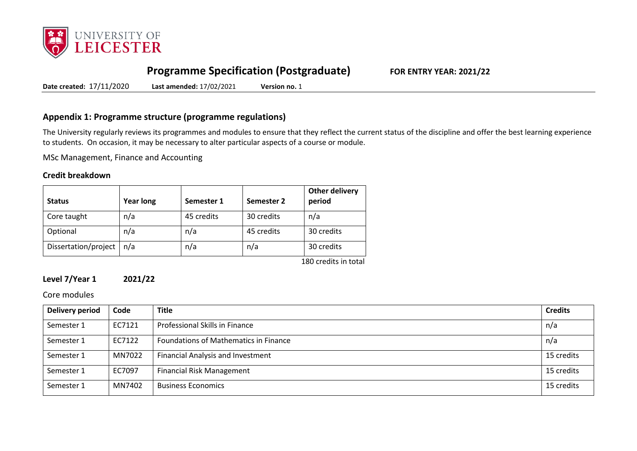

# **Programme Specification (Postgraduate) FOR ENTRY YEAR: 2021/22**

**Date created:** 17/11/2020 **Last amended:** 17/02/2021 **Version no.** 1

## **Appendix 1: Programme structure (programme regulations)**

The University regularly reviews its programmes and modules to ensure that they reflect the current status of the discipline and offer the best learning experience to students. On occasion, it may be necessary to alter particular aspects of a course or module.

MSc Management, Finance and Accounting

#### **Credit breakdown**

| <b>Status</b>        | <b>Year long</b> | Semester 1 | Semester 2 | Other delivery<br>period |
|----------------------|------------------|------------|------------|--------------------------|
| Core taught          | n/a              | 45 credits | 30 credits | n/a                      |
| Optional             | n/a              | n/a        | 45 credits | 30 credits               |
| Dissertation/project | n/a              | n/a        | n/a        | 30 credits               |
|                      |                  |            |            | 180 credits in total     |

### **Level 7/Year 1 2021/22**

Core modules

| Delivery period | Code   | <b>Title</b>                             | <b>Credits</b> |
|-----------------|--------|------------------------------------------|----------------|
| Semester 1      | EC7121 | Professional Skills in Finance           | n/a            |
| Semester 1      | EC7122 | Foundations of Mathematics in Finance    | n/a            |
| Semester 1      | MN7022 | <b>Financial Analysis and Investment</b> | 15 credits     |
| Semester 1      | EC7097 | <b>Financial Risk Management</b>         | 15 credits     |
| Semester 1      | MN7402 | <b>Business Economics</b>                | 15 credits     |